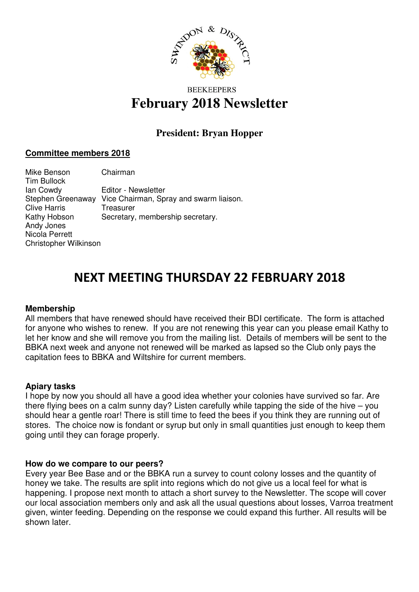

# **BEEKEEPERS February 2018 Newsletter**

# **President: Bryan Hopper**

# **Committee members 2018**

Mike Benson Chairman Tim Bullock Ian Cowdy Editor - Newsletter Stephen Greenaway Vice Chairman, Spray and swarm liaison. Clive Harris Treasurer Kathy Hobson Secretary, membership secretary. Andy Jones Nicola Perrett Christopher Wilkinson

# NEXT MEETING THURSDAY 22 FEBRUARY 2018

# **Membership**

All members that have renewed should have received their BDI certificate. The form is attached for anyone who wishes to renew. If you are not renewing this year can you please email Kathy to let her know and she will remove you from the mailing list. Details of members will be sent to the BBKA next week and anyone not renewed will be marked as lapsed so the Club only pays the capitation fees to BBKA and Wiltshire for current members.

#### **Apiary tasks**

I hope by now you should all have a good idea whether your colonies have survived so far. Are there flying bees on a calm sunny day? Listen carefully while tapping the side of the hive – you should hear a gentle roar! There is still time to feed the bees if you think they are running out of stores. The choice now is fondant or syrup but only in small quantities just enough to keep them going until they can forage properly.

# **How do we compare to our peers?**

Every year Bee Base and or the BBKA run a survey to count colony losses and the quantity of honey we take. The results are split into regions which do not give us a local feel for what is happening. I propose next month to attach a short survey to the Newsletter. The scope will cover our local association members only and ask all the usual questions about losses, Varroa treatment given, winter feeding. Depending on the response we could expand this further. All results will be shown later.